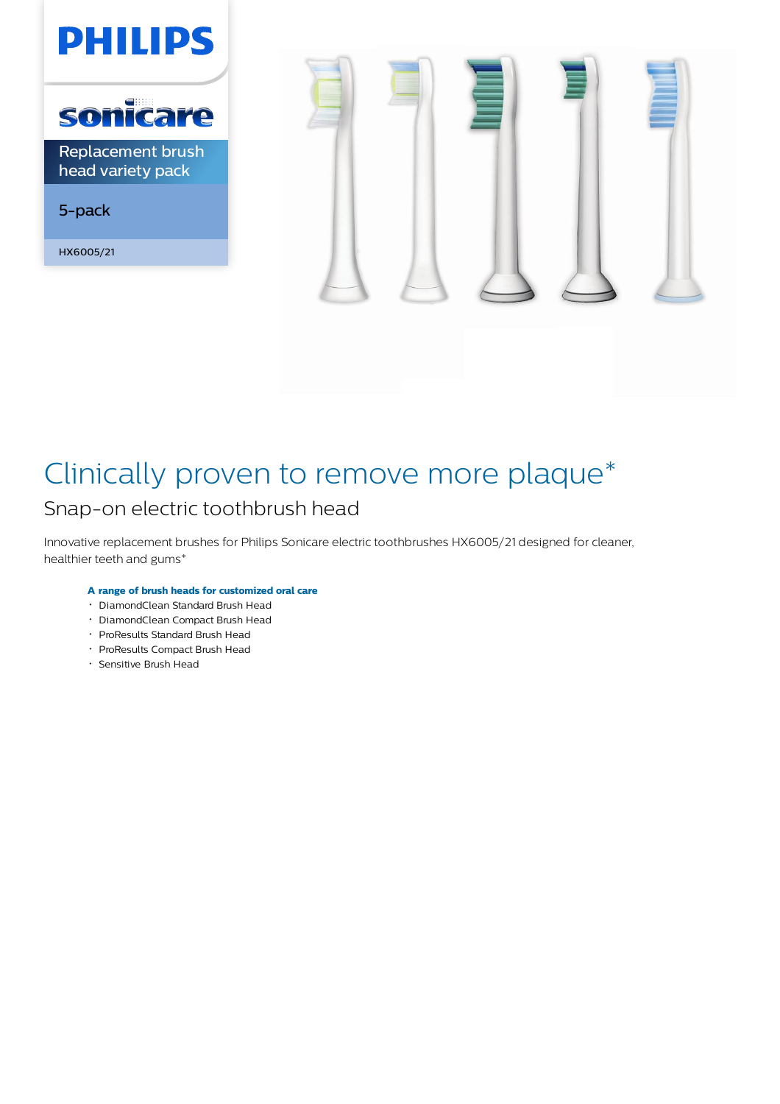

head variety pack

5-pack

HX6005/21



# Clinically proven to remove more plaque\* Snap-on electric toothbrush head

Innovative replacement brushes for Philips Sonicare electric toothbrushes HX6005/21 designed for cleaner, healthier teeth and gums\*

# **A range of brush heads for customized oral care**

- DiamondClean Standard Brush Head
- DiamondClean Compact Brush Head
- ProResults Standard Brush Head
- ProResults Compact Brush Head
- Sensitive Brush Head